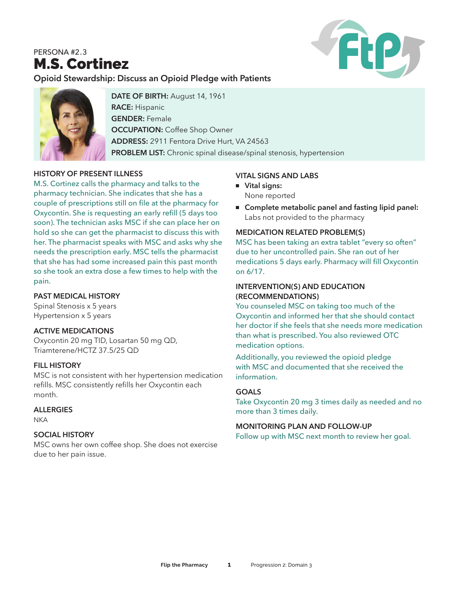# PERSONA #2.3 M.S. Cortinez



**Opioid Stewardship: Discuss an Opioid Pledge with Patients**



**DATE OF BIRTH:** August 14, 1961 **RACE:** Hispanic **GENDER:** Female **OCCUPATION: Coffee Shop Owner ADDRESS:** 2911 Fentora Drive Hurt, VA 24563 **PROBLEM LIST:** Chronic spinal disease/spinal stenosis, hypertension

## **HISTORY OF PRESENT ILLNESS**

M.S. Cortinez calls the pharmacy and talks to the pharmacy technician. She indicates that she has a couple of prescriptions still on file at the pharmacy for Oxycontin. She is requesting an early refill (5 days too soon). The technician asks MSC if she can place her on hold so she can get the pharmacist to discuss this with her. The pharmacist speaks with MSC and asks why she needs the prescription early. MSC tells the pharmacist that she has had some increased pain this past month so she took an extra dose a few times to help with the pain.

#### **PAST MEDICAL HISTORY**

Spinal Stenosis x 5 years Hypertension x 5 years

#### **ACTIVE MEDICATIONS**

Oxycontin 20 mg TID, Losartan 50 mg QD, Triamterene/HCTZ 37.5/25 QD

#### **FILL HISTORY**

MSC is not consistent with her hypertension medication refills. MSC consistently refills her Oxycontin each month.

#### **ALLERGIES**

**NKA** 

#### **SOCIAL HISTORY**

MSC owns her own coffee shop. She does not exercise due to her pain issue.

#### **VITAL SIGNS AND LABS**

- <sup>n</sup> **Vital signs:**  None reported
- Complete metabolic panel and fasting lipid panel: Labs not provided to the pharmacy

#### **MEDICATION RELATED PROBLEM(S)**

MSC has been taking an extra tablet "every so often" due to her uncontrolled pain. She ran out of her medications 5 days early. Pharmacy will fill Oxycontin on 6/17.

#### **INTERVENTION(S) AND EDUCATION (RECOMMENDATIONS)**

You counseled MSC on taking too much of the Oxycontin and informed her that she should contact her doctor if she feels that she needs more medication than what is prescribed. You also reviewed OTC medication options.

Additionally, you reviewed the opioid pledge with MSC and documented that she received the information.

#### **GOALS**

Take Oxycontin 20 mg 3 times daily as needed and no more than 3 times daily.

#### **MONITORING PLAN AND FOLLOW-UP**

Follow up with MSC next month to review her goal.